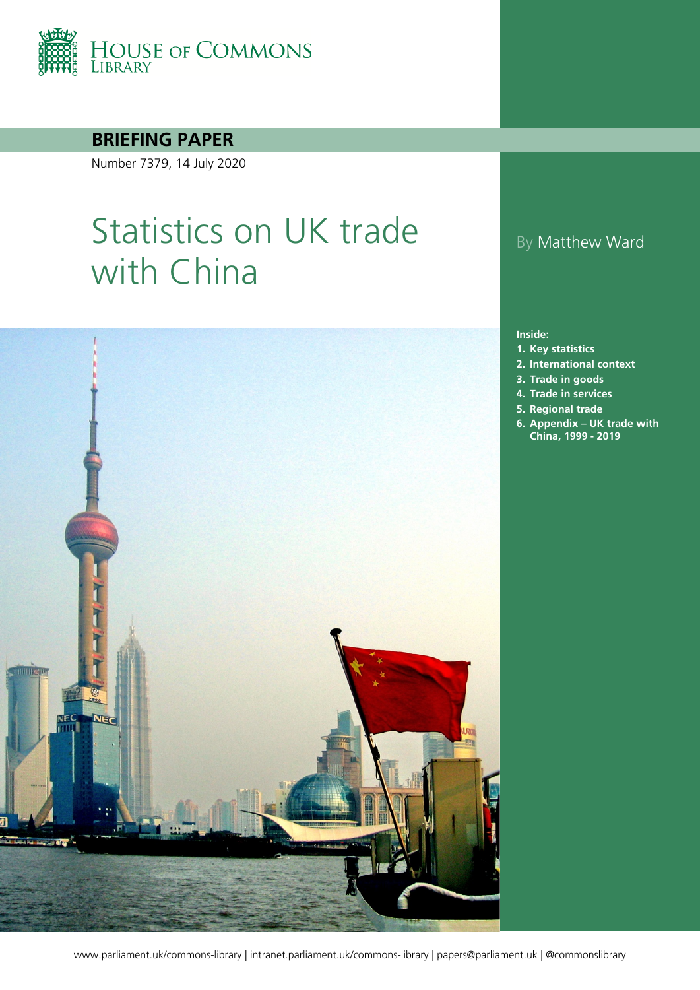

### **BRIEFING PAPER**

Number 7379, 14 July 2020

# Statistics on UK trade with China



### By Matthew Ward

#### **Inside:**

- **1. [Key statistics](#page-3-0)**
- **2. [International context](#page-5-0)**
- **3. [Trade in goods](#page-7-0)**
- **4. [Trade in services](#page-8-0)**
- **5. [Regional trade](#page-10-0)**
- **6. Appendix – [UK trade with](#page-12-0) [China, 1999 - 2019](#page-12-0)**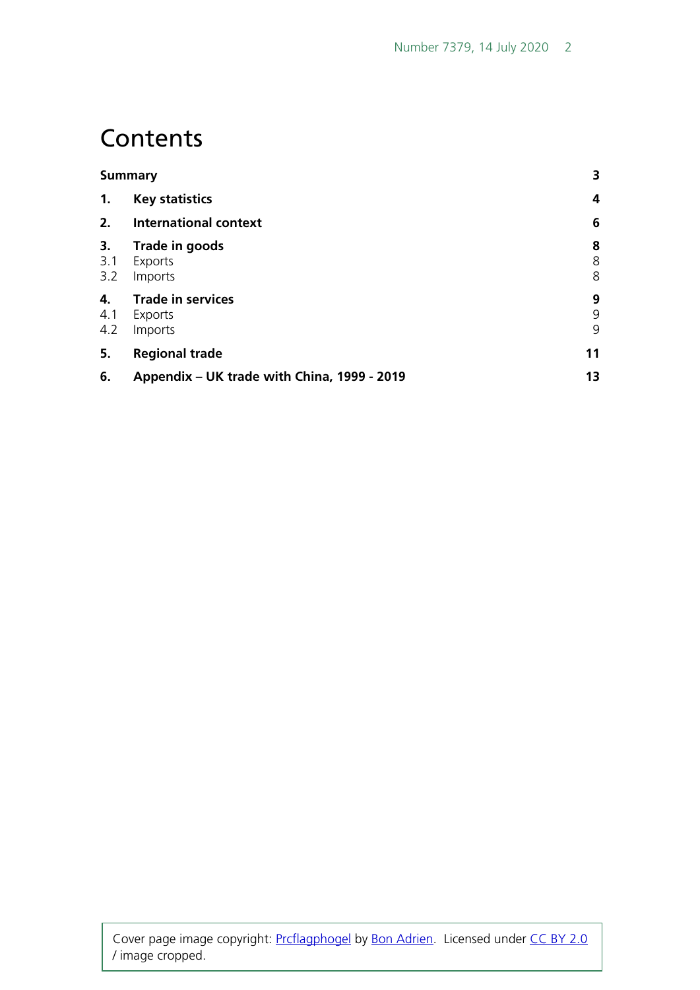## **Contents**

|                  | <b>Summary</b>                                 | 3           |
|------------------|------------------------------------------------|-------------|
| $\mathbf{1}$ .   | <b>Key statistics</b>                          | 4           |
| 2.               | <b>International context</b>                   | 6           |
| 3.<br>3.1<br>3.2 | Trade in goods<br>Exports<br>Imports           | 8<br>8<br>8 |
| 4.<br>4.1<br>4.2 | <b>Trade in services</b><br>Exports<br>Imports | 9<br>9<br>9 |
| 5.               | <b>Regional trade</b>                          | 11          |
| 6.               | Appendix - UK trade with China, 1999 - 2019    | 13          |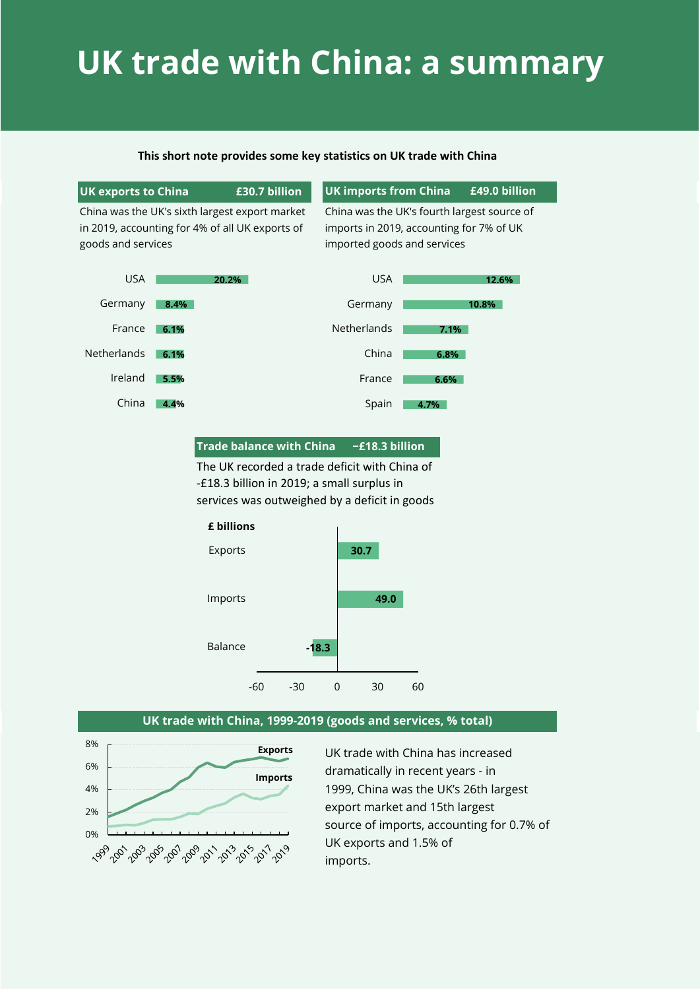# **UK trade with China: a summary**

#### **This short note provides some key statistics on UK trade with China**

#### **UK exports to China £30.7 billion**

### **UK imports from China £49.0 billion**

China was the UK's sixth largest export market in 2019, accounting for 4% of all UK exports of goods and services

China was the UK's fourth largest source of imports in 2019, accounting for 7% of UK imported goods and services



#### **Trade balance with China −£18.3 billion**

The UK recorded a trade deficit with China of -£18.3 billion in 2019; a small surplus in services was outweighed by a deficit in goods



#### **UK trade with China, 1999-2019 (goods and services, % total)**



UK trade with China has increased dramatically in recent years - in 1999, China was the UK's 26th largest export market and 15th largest source of imports, accounting for 0.7% of UK exports and 1.5% of imports.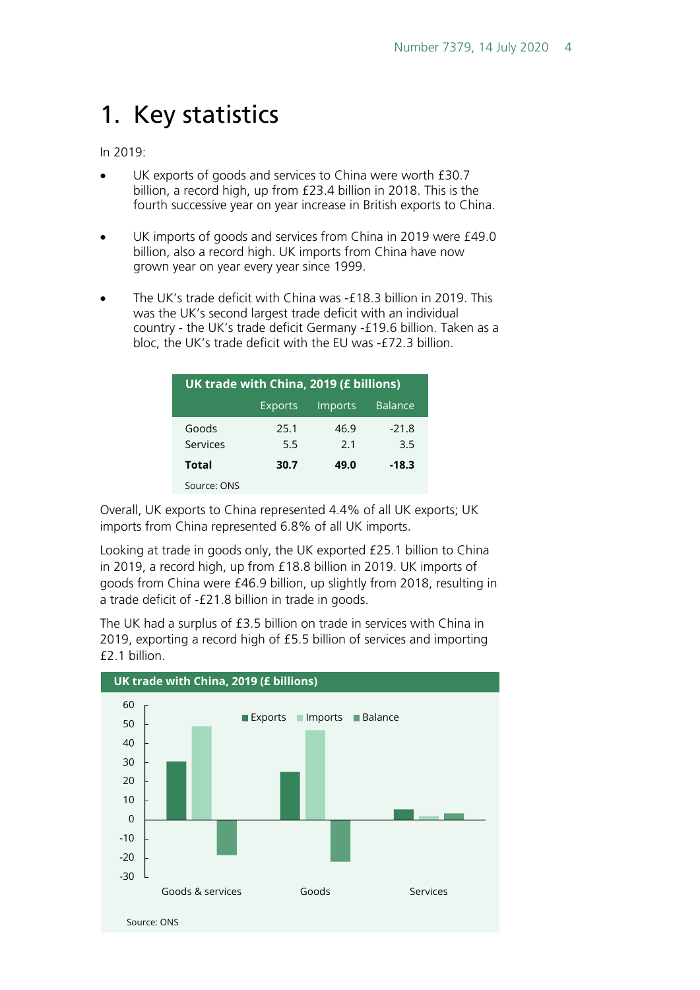## <span id="page-3-0"></span>1. Key statistics

In 2019:

- UK exports of goods and services to China were worth £30.7 billion, a record high, up from £23.4 billion in 2018. This is the fourth successive year on year increase in British exports to China.
- UK imports of goods and services from China in 2019 were £49.0 billion, also a record high. UK imports from China have now grown year on year every year since 1999.
- The UK's trade deficit with China was -£18.3 billion in 2019. This was the UK's second largest trade deficit with an individual country - the UK's trade deficit Germany -£19.6 billion. Taken as a bloc, the UK's trade deficit with the EU was -£72.3 billion.

| UK trade with China, 2019 (£ billions)      |             |             |                |  |  |  |
|---------------------------------------------|-------------|-------------|----------------|--|--|--|
| <b>Balance</b><br><b>Exports</b><br>Imports |             |             |                |  |  |  |
| Goods<br>Services                           | 25.1<br>5.5 | 46.9<br>2.1 | $-21.8$<br>3.5 |  |  |  |
| <b>Total</b>                                | 30.7        | 49.0        | $-18.3$        |  |  |  |
| Source: ONS                                 |             |             |                |  |  |  |

Overall, UK exports to China represented 4.4% of all UK exports; UK imports from China represented 6.8% of all UK imports.

Looking at trade in goods only, the UK exported £25.1 billion to China in 2019, a record high, up from £18.8 billion in 2019. UK imports of goods from China were £46.9 billion, up slightly from 2018, resulting in a trade deficit of -£21.8 billion in trade in goods.

The UK had a surplus of £3.5 billion on trade in services with China in 2019, exporting a record high of £5.5 billion of services and importing £2.1 billion.

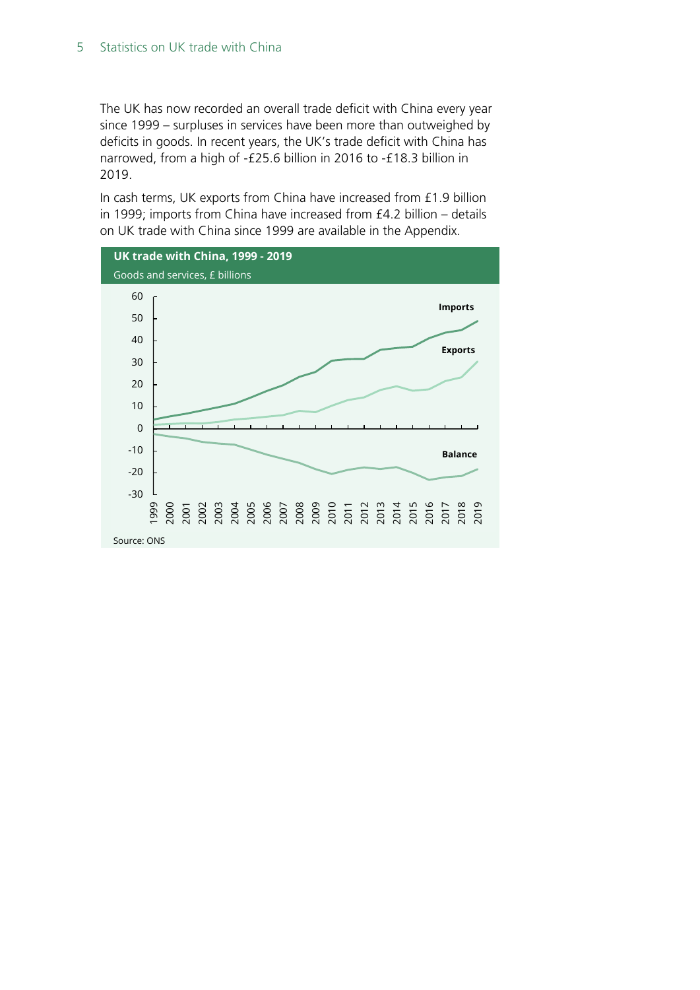The UK has now recorded an overall trade deficit with China every year since 1999 – surpluses in services have been more than outweighed by deficits in goods. In recent years, the UK's trade deficit with China has narrowed, from a high of -£25.6 billion in 2016 to -£18.3 billion in 2019.

In cash terms, UK exports from China have increased from £1.9 billion in 1999; imports from China have increased from £4.2 billion – details on UK trade with China since 1999 are available in the Appendix.

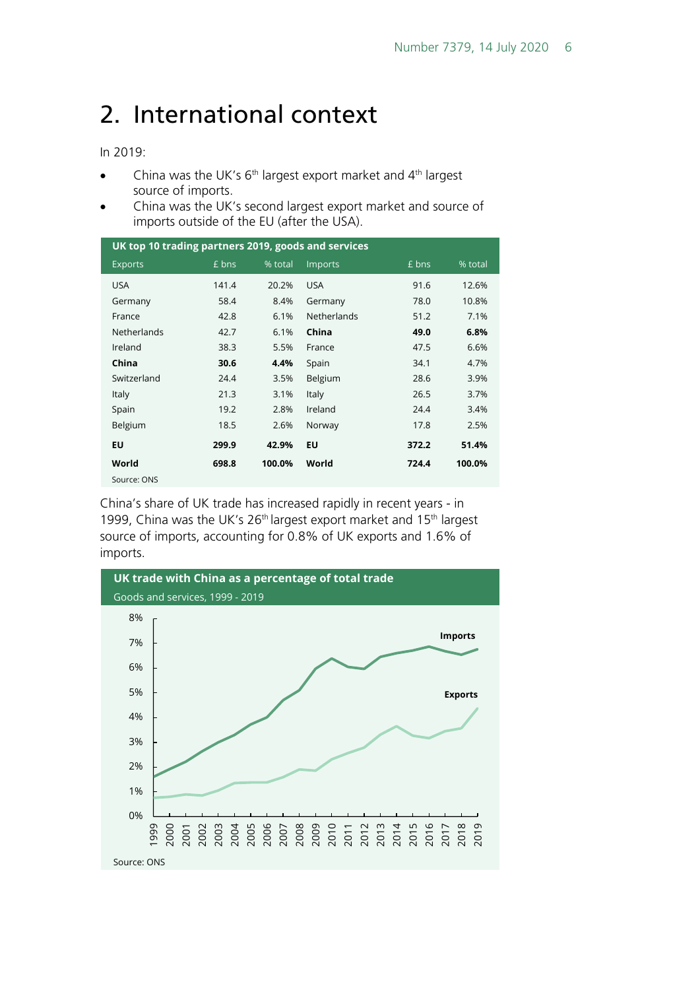## <span id="page-5-0"></span>2. International context

In 2019:

- China was the UK's  $6<sup>th</sup>$  largest export market and  $4<sup>th</sup>$  largest source of imports.
- China was the UK's second largest export market and source of imports outside of the EU (after the USA).

| UK top 10 trading partners 2019, goods and services |       |         |                    |       |         |  |
|-----------------------------------------------------|-------|---------|--------------------|-------|---------|--|
| <b>Exports</b>                                      | £ bns | % total | <b>Imports</b>     | £ bns | % total |  |
| <b>USA</b>                                          | 141.4 | 20.2%   | <b>USA</b>         | 91.6  | 12.6%   |  |
| Germany                                             | 58.4  | 8.4%    | Germany            | 78.0  | 10.8%   |  |
| France                                              | 42.8  | 6.1%    | <b>Netherlands</b> | 51.2  | 7.1%    |  |
| <b>Netherlands</b>                                  | 42.7  | 6.1%    | China              | 49.0  | 6.8%    |  |
| Ireland                                             | 38.3  | 5.5%    | France             | 47.5  | 6.6%    |  |
| China                                               | 30.6  | 4.4%    | Spain              | 34.1  | 4.7%    |  |
| Switzerland                                         | 24.4  | 3.5%    | Belgium            | 28.6  | 3.9%    |  |
| <b>Italy</b>                                        | 21.3  | 3.1%    | Italy              | 26.5  | 3.7%    |  |
| Spain                                               | 19.2  | 2.8%    | Ireland            | 24.4  | 3.4%    |  |
| Belgium                                             | 18.5  | 2.6%    | Norway             | 17.8  | 2.5%    |  |
| EU                                                  | 299.9 | 42.9%   | EU                 | 372.2 | 51.4%   |  |
| World                                               | 698.8 | 100.0%  | World              | 724.4 | 100.0%  |  |
| Source: ONS                                         |       |         |                    |       |         |  |

China's share of UK trade has increased rapidly in recent years - in 1999, China was the UK's 26<sup>th</sup> largest export market and 15<sup>th</sup> largest source of imports, accounting for 0.8% of UK exports and 1.6% of imports.

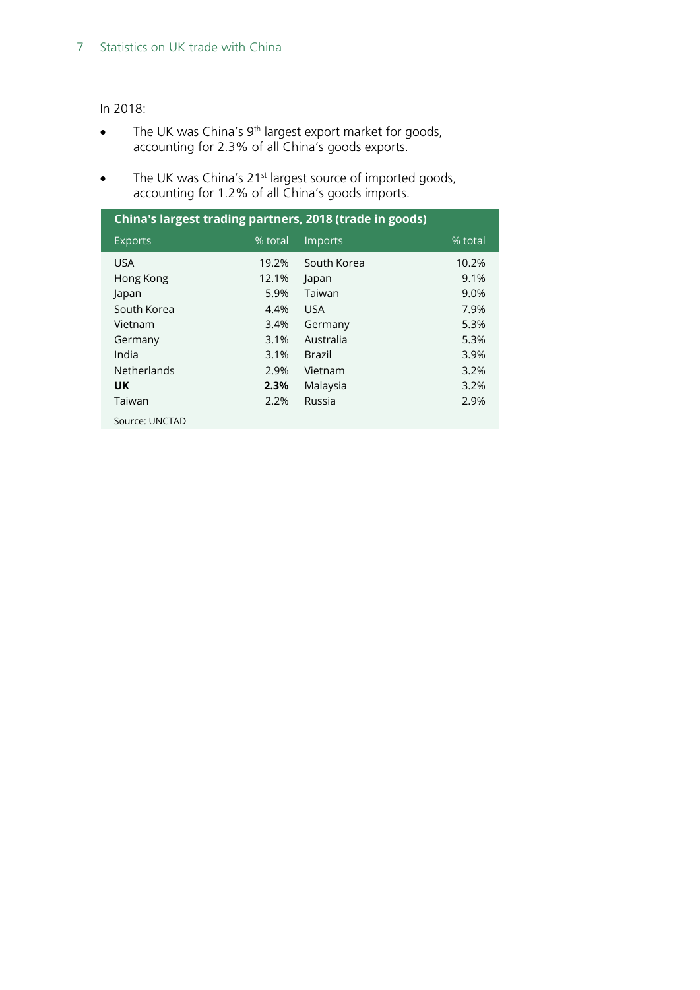#### In 2018:

- The UK was China's  $9<sup>th</sup>$  largest export market for goods, accounting for 2.3% of all China's goods exports.
- The UK was China's 21<sup>st</sup> largest source of imported goods, accounting for 1.2% of all China's goods imports.

| China's largest trading partners, 2018 (trade in goods) |         |               |         |  |  |
|---------------------------------------------------------|---------|---------------|---------|--|--|
| <b>Exports</b>                                          | % total | Imports       | % total |  |  |
| <b>USA</b>                                              | 19.2%   | South Korea   | 10.2%   |  |  |
| Hong Kong                                               | 12.1%   | Japan         | 9.1%    |  |  |
| Japan                                                   | 5.9%    | Taiwan        | 9.0%    |  |  |
| South Korea                                             | 4.4%    | <b>USA</b>    | 7.9%    |  |  |
| Vietnam                                                 | 3.4%    | Germany       | 5.3%    |  |  |
| Germany                                                 | 3.1%    | Australia     | 5.3%    |  |  |
| India                                                   | 3.1%    | <b>Brazil</b> | 3.9%    |  |  |
| <b>Netherlands</b>                                      | 2.9%    | Vietnam       | 3.2%    |  |  |
| <b>UK</b>                                               | 2.3%    | Malaysia      | 3.2%    |  |  |
| Taiwan                                                  | 2.2%    | Russia        | 2.9%    |  |  |
| Source: UNCTAD                                          |         |               |         |  |  |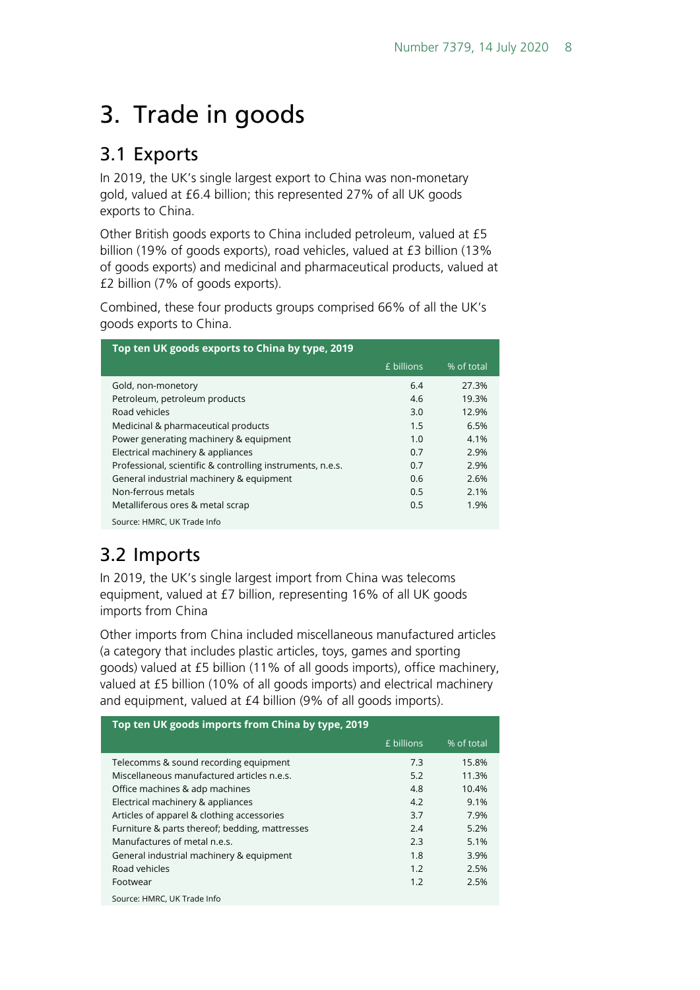# <span id="page-7-0"></span>3. Trade in goods

### <span id="page-7-1"></span>3.1 Exports

In 2019, the UK's single largest export to China was non-monetary gold, valued at £6.4 billion; this represented 27% of all UK goods exports to China.

Other British goods exports to China included petroleum, valued at £5 billion (19% of goods exports), road vehicles, valued at £3 billion (13% of goods exports) and medicinal and pharmaceutical products, valued at £2 billion (7% of goods exports).

Combined, these four products groups comprised 66% of all the UK's goods exports to China.

| Top ten UK goods exports to China by type, 2019            |            |            |  |  |
|------------------------------------------------------------|------------|------------|--|--|
|                                                            | £ billions | % of total |  |  |
| Gold, non-monetory                                         | 6.4        | 27.3%      |  |  |
| Petroleum, petroleum products                              | 4.6        | 19.3%      |  |  |
| Road vehicles                                              | 3.0        | 12.9%      |  |  |
| Medicinal & pharmaceutical products                        | 1.5        | 6.5%       |  |  |
| Power generating machinery & equipment                     | 1.0        | 4.1%       |  |  |
| Electrical machinery & appliances                          | 0.7        | 2.9%       |  |  |
| Professional, scientific & controlling instruments, n.e.s. | 0.7        | 2.9%       |  |  |
| General industrial machinery & equipment                   | 0.6        | 2.6%       |  |  |
| Non-ferrous metals                                         | 0.5        | 2.1%       |  |  |
| Metalliferous ores & metal scrap                           | 0.5        | 1.9%       |  |  |
| Source: HMRC, UK Trade Info                                |            |            |  |  |

## <span id="page-7-2"></span>3.2 Imports

In 2019, the UK's single largest import from China was telecoms equipment, valued at £7 billion, representing 16% of all UK goods imports from China

Other imports from China included miscellaneous manufactured articles (a category that includes plastic articles, toys, games and sporting goods) valued at £5 billion (11% of all goods imports), office machinery, valued at £5 billion (10% of all goods imports) and electrical machinery and equipment, valued at £4 billion (9% of all goods imports).

| Top ten UK goods imports from China by type, 2019 |            |            |  |  |
|---------------------------------------------------|------------|------------|--|--|
|                                                   | £ billions | % of total |  |  |
| Telecomms & sound recording equipment             | 7.3        | 15.8%      |  |  |
| Miscellaneous manufactured articles n.e.s.        | 5.2        | 11.3%      |  |  |
| Office machines & adp machines                    | 4.8        | 10.4%      |  |  |
| Electrical machinery & appliances                 | 4.2        | 9.1%       |  |  |
| Articles of apparel & clothing accessories        | 3.7        | 7.9%       |  |  |
| Furniture & parts thereof; bedding, mattresses    | 2.4        | 5.2%       |  |  |
| Manufactures of metal n.e.s.                      | 2.3        | 5.1%       |  |  |
| General industrial machinery & equipment          | 1.8        | 3.9%       |  |  |
| Road vehicles                                     | 1.2        | 2.5%       |  |  |
| Footwear                                          | 1.2        | 2.5%       |  |  |
| Source: HMRC, UK Trade Info                       |            |            |  |  |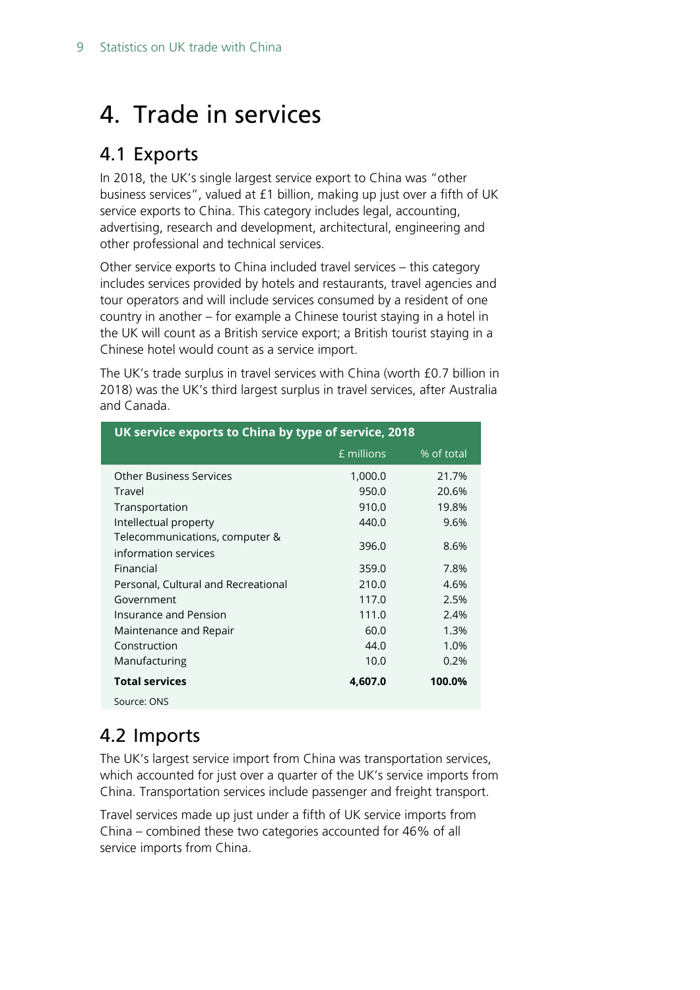# <span id="page-8-0"></span>4. Trade in services

### <span id="page-8-1"></span>4.1 Exports

In 2018, the UK's single largest service export to China was "other business services", valued at £1 billion, making up just over a fifth of UK service exports to China. This category includes legal, accounting, advertising, research and development, architectural, engineering and other professional and technical services.

Other service exports to China included travel services – this category includes services provided by hotels and restaurants, travel agencies and tour operators and will include services consumed by a resident of one country in another – for example a Chinese tourist staying in a hotel in the UK will count as a British service export; a British tourist staying in a Chinese hotel would count as a service import.

The UK's trade surplus in travel services with China (worth £0.7 billion in 2018) was the UK's third largest surplus in travel services, after Australia and Canada.

| UK service exports to China by type of service, 2018   |            |            |  |  |
|--------------------------------------------------------|------------|------------|--|--|
|                                                        | £ millions | % of total |  |  |
| <b>Other Business Services</b>                         | 1,000.0    | 21.7%      |  |  |
| Travel                                                 | 950.0      | 20.6%      |  |  |
| Transportation                                         | 910.0      | 19.8%      |  |  |
| Intellectual property                                  | 440.0      | 9.6%       |  |  |
| Telecommunications, computer &<br>information services | 396.0      | 8.6%       |  |  |
| Financial                                              | 359.0      | 7.8%       |  |  |
| Personal, Cultural and Recreational                    | 210.0      | 4.6%       |  |  |
| Government                                             | 117.0      | 2.5%       |  |  |
| Insurance and Pension                                  | 111.0      | 2.4%       |  |  |
| Maintenance and Repair                                 | 60.0       | 1.3%       |  |  |
| Construction                                           | 44.0       | 1.0%       |  |  |
| Manufacturing                                          | 10.0       | 0.2%       |  |  |
| <b>Total services</b>                                  | 4,607.0    | 100.0%     |  |  |
| Source: ONS                                            |            |            |  |  |

## <span id="page-8-2"></span>4.2 Imports

The UK's largest service import from China was transportation services, which accounted for just over a quarter of the UK's service imports from China. Transportation services include passenger and freight transport.

Travel services made up just under a fifth of UK service imports from China – combined these two categories accounted for 46% of all service imports from China.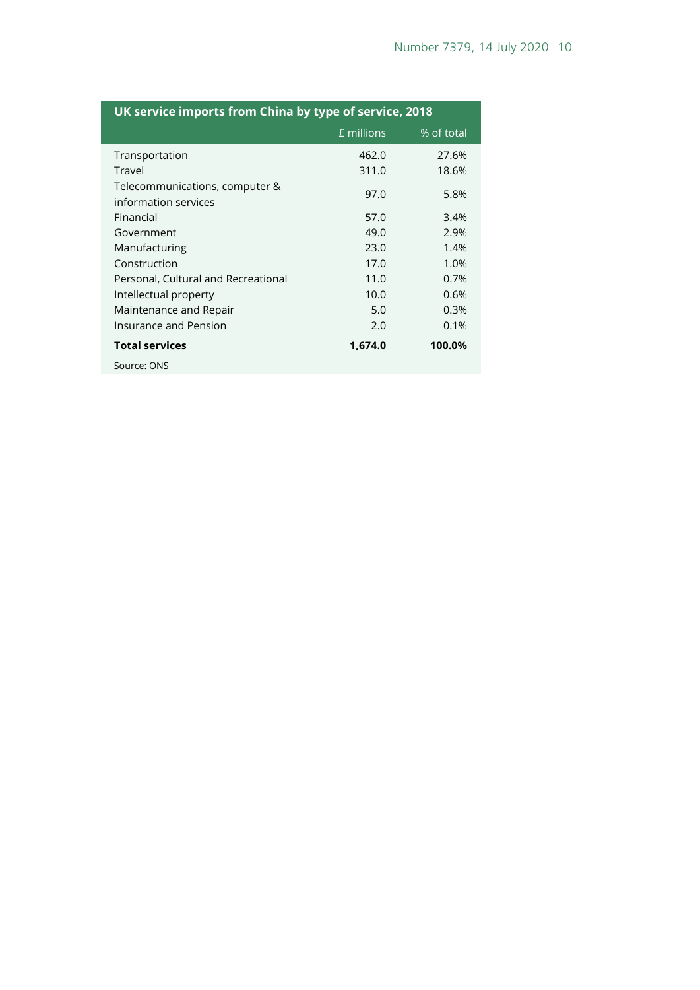| UK service imports from China by type of service, 2018 |            |            |  |  |
|--------------------------------------------------------|------------|------------|--|--|
|                                                        | £ millions | % of total |  |  |
| Transportation                                         | 462.0      | 27.6%      |  |  |
| Travel                                                 | 311.0      | 18.6%      |  |  |
| Telecommunications, computer &<br>information services | 97.0       | 5.8%       |  |  |
| Financial                                              | 57.0       | 3.4%       |  |  |
| Government                                             | 49.0       | 2.9%       |  |  |
| Manufacturing                                          | 23.0       | 1.4%       |  |  |
| Construction                                           | 17.0       | 1.0%       |  |  |
| Personal, Cultural and Recreational                    | 11.0       | 0.7%       |  |  |
| Intellectual property                                  | 10.0       | 0.6%       |  |  |
| Maintenance and Repair                                 | 5.0        | 0.3%       |  |  |
| Insurance and Pension                                  | 2.0        | 0.1%       |  |  |
| <b>Total services</b>                                  | 1,674.0    | 100.0%     |  |  |
| Source: ONS                                            |            |            |  |  |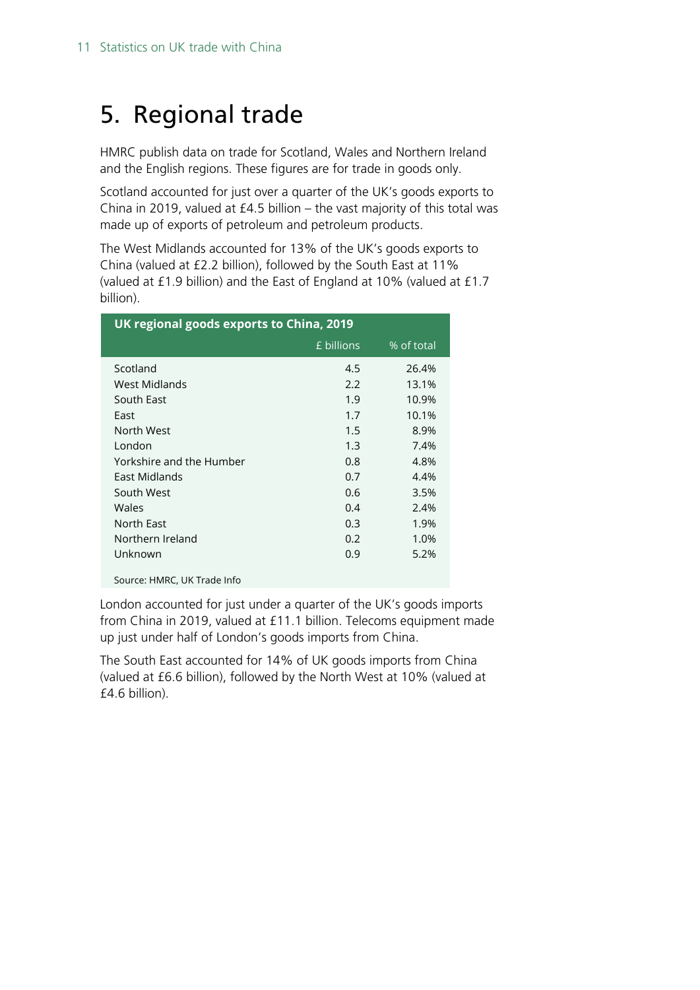# <span id="page-10-0"></span>5. Regional trade

HMRC publish data on trade for Scotland, Wales and Northern Ireland and the English regions. These figures are for trade in goods only.

Scotland accounted for just over a quarter of the UK's goods exports to China in 2019, valued at £4.5 billion – the vast majority of this total was made up of exports of petroleum and petroleum products.

The West Midlands accounted for 13% of the UK's goods exports to China (valued at £2.2 billion), followed by the South East at 11% (valued at £1.9 billion) and the East of England at 10% (valued at £1.7 billion).

| UK regional goods exports to China, 2019 |            |            |  |  |  |
|------------------------------------------|------------|------------|--|--|--|
|                                          | £ billions | % of total |  |  |  |
| Scotland                                 | 4.5        | 26.4%      |  |  |  |
| West Midlands                            | 2.2        | 13.1%      |  |  |  |
| South East                               | 1.9        | 10.9%      |  |  |  |
| East                                     | 1.7        | 10.1%      |  |  |  |
| North West                               | 1.5        | 8.9%       |  |  |  |
| London                                   | 1.3        | 7.4%       |  |  |  |
| Yorkshire and the Humber                 | 0.8        | 4.8%       |  |  |  |
| East Midlands                            | 0.7        | 4.4%       |  |  |  |
| South West                               | 0.6        | 3.5%       |  |  |  |
| Wales                                    | 0.4        | 2.4%       |  |  |  |
| North East                               | 0.3        | 1.9%       |  |  |  |
| Northern Ireland                         | 0.2        | 1.0%       |  |  |  |
| Unknown                                  | 0.9        | 5.2%       |  |  |  |

Source: HMRC, UK Trade Info

London accounted for just under a quarter of the UK's goods imports from China in 2019, valued at £11.1 billion. Telecoms equipment made up just under half of London's goods imports from China.

The South East accounted for 14% of UK goods imports from China (valued at £6.6 billion), followed by the North West at 10% (valued at £4.6 billion).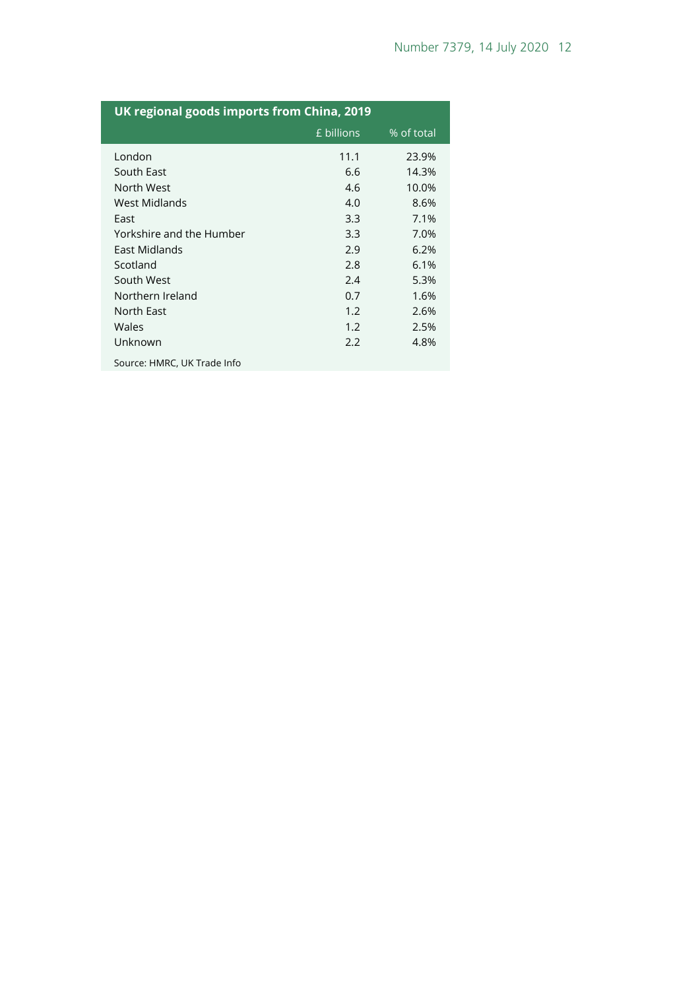| UK regional goods imports from China, 2019 |            |            |  |  |
|--------------------------------------------|------------|------------|--|--|
|                                            | £ billions | % of total |  |  |
| London                                     | 11.1       | 23.9%      |  |  |
| South East                                 | 6.6        | 14.3%      |  |  |
| North West                                 | 4.6        | 10.0%      |  |  |
| West Midlands                              | 4.0        | 8.6%       |  |  |
| East                                       | 3.3        | 7.1%       |  |  |
| Yorkshire and the Humber                   | 3.3        | 7.0%       |  |  |
| East Midlands                              | 2.9        | 6.2%       |  |  |
| Scotland                                   | 2.8        | 6.1%       |  |  |
| South West                                 | 2.4        | 5.3%       |  |  |
| Northern Ireland                           | 0.7        | 1.6%       |  |  |
| North East                                 | 1.2        | 2.6%       |  |  |
| Wales                                      | 1.2        | 2.5%       |  |  |
| Unknown                                    | 2.2        | 4.8%       |  |  |
| Source: HMRC, UK Trade Info                |            |            |  |  |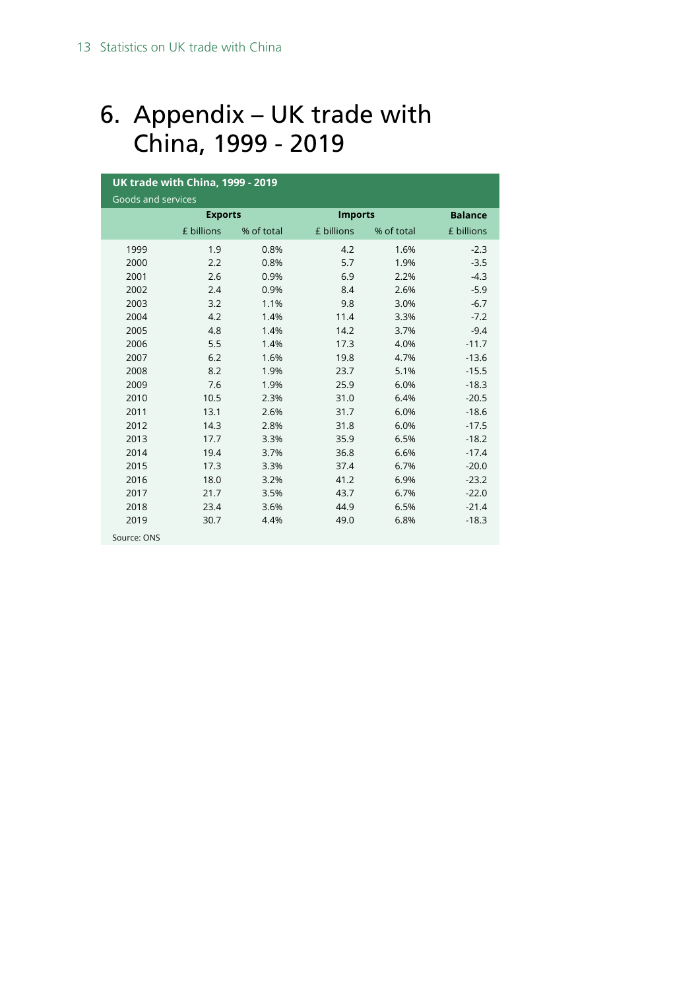# <span id="page-12-0"></span>6. Appendix – UK trade with China, 1999 - 2019

| <b>UK trade with China, 1999 - 2019</b> |                |            |                |            |                |  |
|-----------------------------------------|----------------|------------|----------------|------------|----------------|--|
| Goods and services                      |                |            |                |            |                |  |
|                                         | <b>Exports</b> |            | <b>Imports</b> |            | <b>Balance</b> |  |
|                                         | £ billions     | % of total | £ billions     | % of total | £ billions     |  |
| 1999                                    | 1.9            | 0.8%       | 4.2            | 1.6%       | $-2.3$         |  |
| 2000                                    | 2.2            | 0.8%       | 5.7            | 1.9%       | $-3.5$         |  |
| 2001                                    | 2.6            | 0.9%       | 6.9            | 2.2%       | $-4.3$         |  |
| 2002                                    | 2.4            | 0.9%       | 8.4            | 2.6%       | $-5.9$         |  |
| 2003                                    | 3.2            | 1.1%       | 9.8            | 3.0%       | $-6.7$         |  |
| 2004                                    | 4.2            | 1.4%       | 11.4           | 3.3%       | $-7.2$         |  |
| 2005                                    | 4.8            | 1.4%       | 14.2           | 3.7%       | $-9.4$         |  |
| 2006                                    | 5.5            | 1.4%       | 17.3           | 4.0%       | $-11.7$        |  |
| 2007                                    | 6.2            | 1.6%       | 19.8           | 4.7%       | $-13.6$        |  |
| 2008                                    | 8.2            | 1.9%       | 23.7           | 5.1%       | $-15.5$        |  |
| 2009                                    | 7.6            | 1.9%       | 25.9           | 6.0%       | $-18.3$        |  |
| 2010                                    | 10.5           | 2.3%       | 31.0           | 6.4%       | $-20.5$        |  |
| 2011                                    | 13.1           | 2.6%       | 31.7           | 6.0%       | $-18.6$        |  |
| 2012                                    | 14.3           | 2.8%       | 31.8           | 6.0%       | $-17.5$        |  |
| 2013                                    | 17.7           | 3.3%       | 35.9           | 6.5%       | $-18.2$        |  |
| 2014                                    | 19.4           | 3.7%       | 36.8           | 6.6%       | $-17.4$        |  |
| 2015                                    | 17.3           | 3.3%       | 37.4           | 6.7%       | $-20.0$        |  |
| 2016                                    | 18.0           | 3.2%       | 41.2           | 6.9%       | $-23.2$        |  |
| 2017                                    | 21.7           | 3.5%       | 43.7           | 6.7%       | $-22.0$        |  |
| 2018                                    | 23.4           | 3.6%       | 44.9           | 6.5%       | $-21.4$        |  |
| 2019                                    | 30.7           | 4.4%       | 49.0           | 6.8%       | $-18.3$        |  |
| Source: ONS                             |                |            |                |            |                |  |